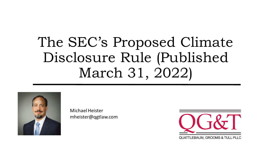# The SEC's Proposed Climate Disclosure Rule (Published March 31, 2022)



Michael Heister mheister@qgtlaw.com

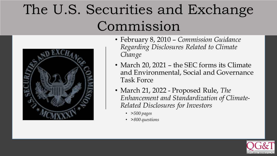# The U.S. Securities and Exchange Commission



- February 8, 2010 *Commission Guidance Regarding Disclosures Related to Climate Change*
- March 20, 2021 the SEC forms its Climate and Environmental, Social and Governance Task Force
- March 21, 2022 Proposed Rule, *The Enhancement and Standardization of Climate-Related Disclosures for Investors*
	- *>500 pages*
	- *>800 questions*

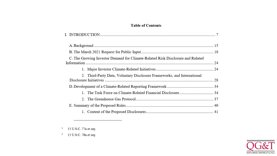#### **Table of Contents**

| C. The Growing Investor Demand for Climate-Related Risk Disclosure and Related |  |
|--------------------------------------------------------------------------------|--|
|                                                                                |  |
| 2. Third-Party Data, Voluntary Disclosure Frameworks, and International        |  |
|                                                                                |  |
|                                                                                |  |
|                                                                                |  |
|                                                                                |  |
|                                                                                |  |

15 U.S.C. 77a et seq.  $\mathbf{1}$ 

 $2$  15 U.S.C. 78a et seq.

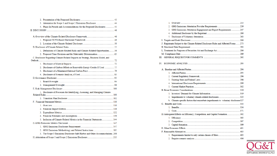| 3. Attestation for Scope 1 and Scope 2 Emissions Disclosure 44                   |  |
|----------------------------------------------------------------------------------|--|
| 4. Phase-In Periods and Accommodations for the Proposed Disclosures 45           |  |
|                                                                                  |  |
|                                                                                  |  |
|                                                                                  |  |
|                                                                                  |  |
|                                                                                  |  |
|                                                                                  |  |
| 1. Definitions of Climate-Related Risks and Climate-Related Opportunities 56     |  |
|                                                                                  |  |
| C. Disclosure Regarding Climate-Related Impacts on Strategy, Business Model, and |  |
|                                                                                  |  |
|                                                                                  |  |
| 2. Disclosure of Carbon Offsets or Renewable Energy Credits If Used  77          |  |
|                                                                                  |  |
|                                                                                  |  |
|                                                                                  |  |
|                                                                                  |  |
|                                                                                  |  |
|                                                                                  |  |
| 1. Disclosure of Processes for Identifying, Assessing, and Managing Climate-     |  |
|                                                                                  |  |
|                                                                                  |  |
|                                                                                  |  |
|                                                                                  |  |
|                                                                                  |  |
|                                                                                  |  |
| 5. Inclusion of Climate-Related Metrics in the Financial Statements 144          |  |
|                                                                                  |  |
|                                                                                  |  |
| 2. GHG Emissions Methodology and Related Instructions  185                       |  |
| 3. The Scope 3 Emissions Disclosure Safe Harbor and Other Accommodations. 208    |  |
|                                                                                  |  |
|                                                                                  |  |

| 3. GHG Emissions Attestation Engagement and Report Requirements  247                   |  |
|----------------------------------------------------------------------------------------|--|
|                                                                                        |  |
|                                                                                        |  |
|                                                                                        |  |
| J. Registrants Subject to the Climate-Related Disclosure Rules and Affected Forms  275 |  |
|                                                                                        |  |
|                                                                                        |  |
|                                                                                        |  |
|                                                                                        |  |
|                                                                                        |  |
|                                                                                        |  |
|                                                                                        |  |
|                                                                                        |  |
|                                                                                        |  |
|                                                                                        |  |
|                                                                                        |  |
|                                                                                        |  |
|                                                                                        |  |
|                                                                                        |  |
|                                                                                        |  |
| b. Climate-specific factors that exacerbate impediments to voluntary disclosure 327    |  |
|                                                                                        |  |
|                                                                                        |  |
|                                                                                        |  |
| D. Anticipated Effects on Efficiency, Competition, and Capital Formation 392           |  |
|                                                                                        |  |
|                                                                                        |  |
|                                                                                        |  |
|                                                                                        |  |
|                                                                                        |  |
|                                                                                        |  |
|                                                                                        |  |
|                                                                                        |  |

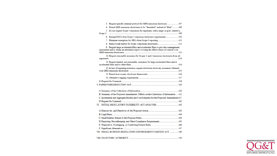| 4. Permit GHG emissions disclosures to be "furnished" instead of "filed"  409<br>5. Do not require Scope 3 emissions for registrants with a target or goal related to<br>Scope 3 миллиональной политики политики политики политики политики политики политики 409<br>6. Exempt EGCs from Scope 3 emissions disclosure requirements 410<br>9. Require large accelerated filers and accelerated filers to provide a management<br>assessment and to obtain an attestation report covering the effectiveness of controls over<br>10. Require reasonable assurance for Scopes 1 and 2 emissions disclosures from all<br>11. Require limited, not reasonable, assurance for large accelerated filers and/or<br>12. In lieu of requiring assurance, require disclosure about any assurance obtained<br>B. Summary of the Proposed Amendments' Effects on the Collections of Information  422<br>C. Incremental and Aggregate Burden and Cost Estimates for the Proposed Amendments437<br>D. Reporting, Recordkeeping, and Other Compliance Requirements 445<br>VII. SMALL BUSINESS REGULATORY ENFORCEMENT FAIRNESS ACT  449 | 3. Require specific external protocol for GHG emissions disclosure  407 |  |
|-----------------------------------------------------------------------------------------------------------------------------------------------------------------------------------------------------------------------------------------------------------------------------------------------------------------------------------------------------------------------------------------------------------------------------------------------------------------------------------------------------------------------------------------------------------------------------------------------------------------------------------------------------------------------------------------------------------------------------------------------------------------------------------------------------------------------------------------------------------------------------------------------------------------------------------------------------------------------------------------------------------------------------------------------------------------------------------------------------------------------|-------------------------------------------------------------------------|--|
|                                                                                                                                                                                                                                                                                                                                                                                                                                                                                                                                                                                                                                                                                                                                                                                                                                                                                                                                                                                                                                                                                                                       |                                                                         |  |
|                                                                                                                                                                                                                                                                                                                                                                                                                                                                                                                                                                                                                                                                                                                                                                                                                                                                                                                                                                                                                                                                                                                       |                                                                         |  |
|                                                                                                                                                                                                                                                                                                                                                                                                                                                                                                                                                                                                                                                                                                                                                                                                                                                                                                                                                                                                                                                                                                                       |                                                                         |  |
|                                                                                                                                                                                                                                                                                                                                                                                                                                                                                                                                                                                                                                                                                                                                                                                                                                                                                                                                                                                                                                                                                                                       |                                                                         |  |
|                                                                                                                                                                                                                                                                                                                                                                                                                                                                                                                                                                                                                                                                                                                                                                                                                                                                                                                                                                                                                                                                                                                       |                                                                         |  |
|                                                                                                                                                                                                                                                                                                                                                                                                                                                                                                                                                                                                                                                                                                                                                                                                                                                                                                                                                                                                                                                                                                                       |                                                                         |  |
|                                                                                                                                                                                                                                                                                                                                                                                                                                                                                                                                                                                                                                                                                                                                                                                                                                                                                                                                                                                                                                                                                                                       |                                                                         |  |
|                                                                                                                                                                                                                                                                                                                                                                                                                                                                                                                                                                                                                                                                                                                                                                                                                                                                                                                                                                                                                                                                                                                       |                                                                         |  |
|                                                                                                                                                                                                                                                                                                                                                                                                                                                                                                                                                                                                                                                                                                                                                                                                                                                                                                                                                                                                                                                                                                                       |                                                                         |  |
|                                                                                                                                                                                                                                                                                                                                                                                                                                                                                                                                                                                                                                                                                                                                                                                                                                                                                                                                                                                                                                                                                                                       |                                                                         |  |
|                                                                                                                                                                                                                                                                                                                                                                                                                                                                                                                                                                                                                                                                                                                                                                                                                                                                                                                                                                                                                                                                                                                       |                                                                         |  |
|                                                                                                                                                                                                                                                                                                                                                                                                                                                                                                                                                                                                                                                                                                                                                                                                                                                                                                                                                                                                                                                                                                                       |                                                                         |  |
|                                                                                                                                                                                                                                                                                                                                                                                                                                                                                                                                                                                                                                                                                                                                                                                                                                                                                                                                                                                                                                                                                                                       |                                                                         |  |
|                                                                                                                                                                                                                                                                                                                                                                                                                                                                                                                                                                                                                                                                                                                                                                                                                                                                                                                                                                                                                                                                                                                       |                                                                         |  |
|                                                                                                                                                                                                                                                                                                                                                                                                                                                                                                                                                                                                                                                                                                                                                                                                                                                                                                                                                                                                                                                                                                                       |                                                                         |  |
|                                                                                                                                                                                                                                                                                                                                                                                                                                                                                                                                                                                                                                                                                                                                                                                                                                                                                                                                                                                                                                                                                                                       |                                                                         |  |
|                                                                                                                                                                                                                                                                                                                                                                                                                                                                                                                                                                                                                                                                                                                                                                                                                                                                                                                                                                                                                                                                                                                       |                                                                         |  |
|                                                                                                                                                                                                                                                                                                                                                                                                                                                                                                                                                                                                                                                                                                                                                                                                                                                                                                                                                                                                                                                                                                                       |                                                                         |  |
|                                                                                                                                                                                                                                                                                                                                                                                                                                                                                                                                                                                                                                                                                                                                                                                                                                                                                                                                                                                                                                                                                                                       |                                                                         |  |
|                                                                                                                                                                                                                                                                                                                                                                                                                                                                                                                                                                                                                                                                                                                                                                                                                                                                                                                                                                                                                                                                                                                       |                                                                         |  |
|                                                                                                                                                                                                                                                                                                                                                                                                                                                                                                                                                                                                                                                                                                                                                                                                                                                                                                                                                                                                                                                                                                                       |                                                                         |  |
|                                                                                                                                                                                                                                                                                                                                                                                                                                                                                                                                                                                                                                                                                                                                                                                                                                                                                                                                                                                                                                                                                                                       |                                                                         |  |
|                                                                                                                                                                                                                                                                                                                                                                                                                                                                                                                                                                                                                                                                                                                                                                                                                                                                                                                                                                                                                                                                                                                       |                                                                         |  |
|                                                                                                                                                                                                                                                                                                                                                                                                                                                                                                                                                                                                                                                                                                                                                                                                                                                                                                                                                                                                                                                                                                                       |                                                                         |  |
|                                                                                                                                                                                                                                                                                                                                                                                                                                                                                                                                                                                                                                                                                                                                                                                                                                                                                                                                                                                                                                                                                                                       |                                                                         |  |
|                                                                                                                                                                                                                                                                                                                                                                                                                                                                                                                                                                                                                                                                                                                                                                                                                                                                                                                                                                                                                                                                                                                       |                                                                         |  |
|                                                                                                                                                                                                                                                                                                                                                                                                                                                                                                                                                                                                                                                                                                                                                                                                                                                                                                                                                                                                                                                                                                                       |                                                                         |  |

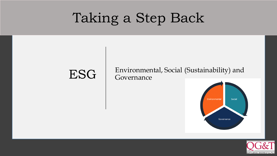# Taking a Step Back

#### ESG Environmental, Social (Sustainability) and Governance



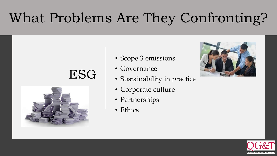# What Problems Are They Confronting?

## ESG



- Scope 3 emissions
- Governance
- Sustainability in practice
- Corporate culture
- Partnerships
- Ethics



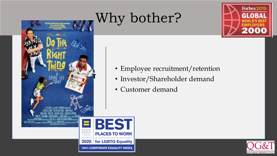# Why bother?





- Employee recruitment/retention
- Investor/Shareholder demand
- Customer demand



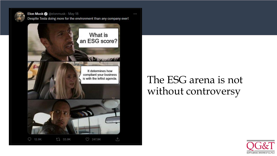

Elon Musk @ @elonmusk · May 18 Despite Tesla doing more for the environment than any company ever!

 $0.00$ 



## It determines how<br>
is with the leftist agenda.<br>
SG arena is not without controversy

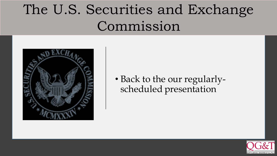# The U.S. Securities and Exchange Commission



• Back to the our regularlyscheduled presentation

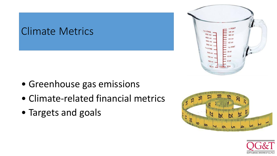#### Climate Metrics



- Greenhouse gas emissions
- Climate-related financial metrics
- Targets and goals



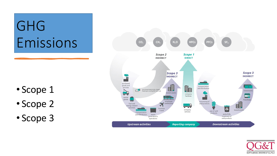# GHG Emissions

- Scope 1
- Scope 2
- Scope 3



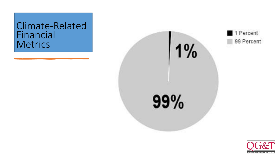#### Climate-Related Financial **Metrics**



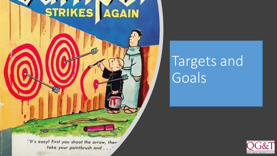

# Targets and Goals

**NUATTLEBAUM, GROOMS & TULL PLLC** 

take your paintbrush and . . .'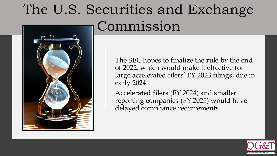# The U.S. Securities and Exchange Commission

The SEC hopes to finalize the rule by the end of 2022, which would make it effective for large accelerated filers' FY 2023 filings, due in early 2024.

Accelerated filers (FY 2024) and smaller reporting companies (FY 2025) would have delayed compliance requirements.



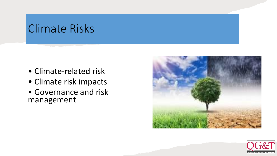### Climate Risks

- Climate-related risk
- Climate risk impacts
- Governance and risk management